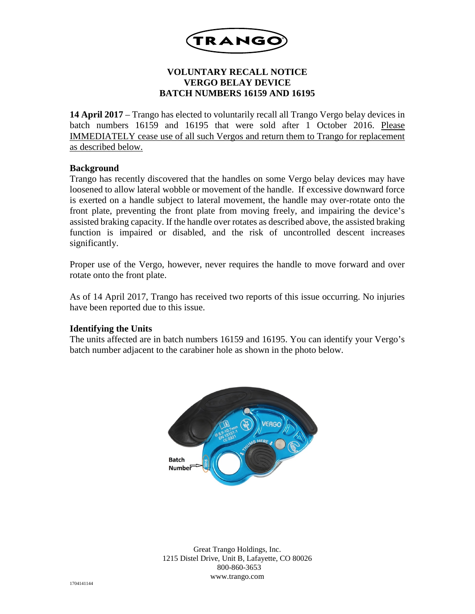

# **VOLUNTARY RECALL NOTICE VERGO BELAY DEVICE BATCH NUMBERS 16159 AND 16195**

**14 April 2017** – Trango has elected to voluntarily recall all Trango Vergo belay devices in batch numbers 16159 and 16195 that were sold after 1 October 2016. Please IMMEDIATELY cease use of all such Vergos and return them to Trango for replacement as described below.

### **Background**

Trango has recently discovered that the handles on some Vergo belay devices may have loosened to allow lateral wobble or movement of the handle. If excessive downward force is exerted on a handle subject to lateral movement, the handle may over-rotate onto the front plate, preventing the front plate from moving freely, and impairing the device's assisted braking capacity. If the handle over rotates as described above, the assisted braking function is impaired or disabled, and the risk of uncontrolled descent increases significantly.

Proper use of the Vergo, however, never requires the handle to move forward and over rotate onto the front plate.

As of 14 April 2017, Trango has received two reports of this issue occurring. No injuries have been reported due to this issue.

## **Identifying the Units**

The units affected are in batch numbers 16159 and 16195. You can identify your Vergo's batch number adjacent to the carabiner hole as shown in the photo below.



Great Trango Holdings, Inc. 1215 Distel Drive, Unit B, Lafayette, CO 80026 800-860-3653 www.trango.com